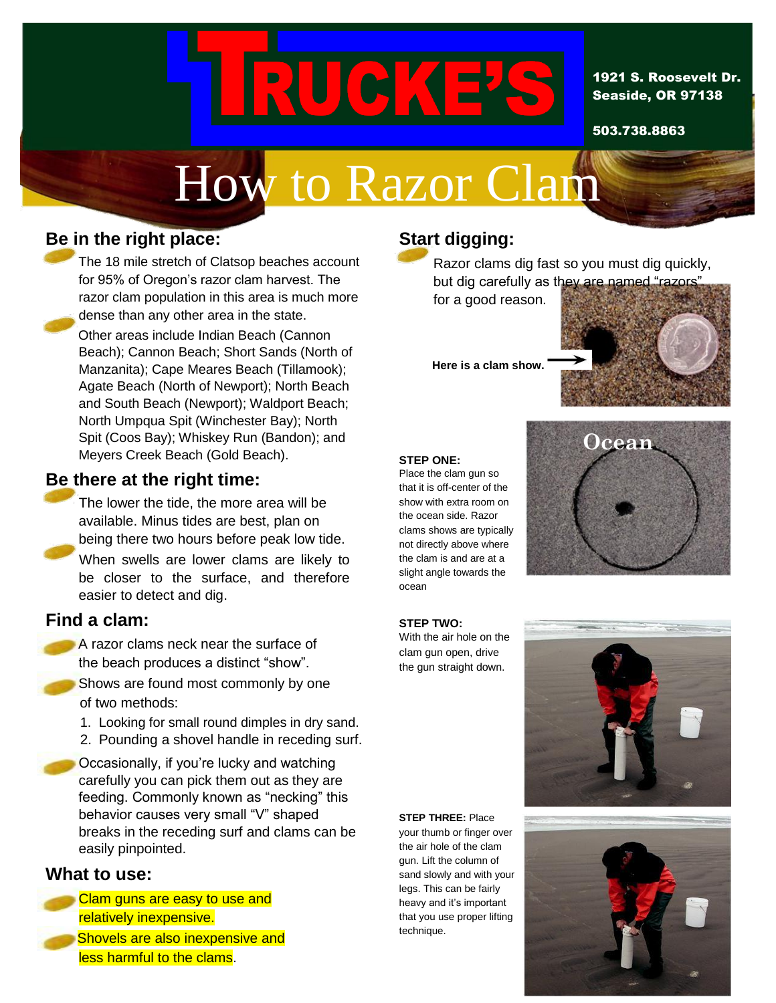# I RUT

#### 1921 S. Roosevelt Dr. Seaside, OR 97138

503.738.8863

# How to Razor Clam

# **Be in the right place:**

The 18 mile stretch of Clatsop beaches account for 95% of Oregon's razor clam harvest. The razor clam population in this area is much more dense than any other area in the state.

Other areas include Indian Beach (Cannon Beach); Cannon Beach; Short Sands (North of Manzanita); Cape Meares Beach (Tillamook); Agate Beach (North of Newport); North Beach and South Beach (Newport); Waldport Beach; North Umpqua Spit (Winchester Bay); North Spit (Coos Bay); Whiskey Run (Bandon); and Meyers Creek Beach (Gold Beach).

## **Be there at the right time:**

The lower the tide, the more area will be available. Minus tides are best, plan on being there two hours before peak low tide. When swells are lower clams are likely to be closer to the surface, and therefore easier to detect and dig.

### **Find a clam:**

- A razor clams neck near the surface of the beach produces a distinct "show".
- Shows are found most commonly by one of two methods:
- 1. Looking for small round dimples in dry sand.
- 2. Pounding a shovel handle in receding surf.

Occasionally, if you're lucky and watching carefully you can pick them out as they are feeding. Commonly known as "necking" this behavior causes very small "V" shaped breaks in the receding surf and clams can be easily pinpointed.

#### **What to use:**

**Clam guns are easy to use and** relatively inexpensive. Shovels are also inexpensive and less harmful to the clams.

# **Start digging:**

Razor clams dig fast so you must dig quickly, but dig carefully as they are named "razors"

for a good reason.

**Here is a clam show.** 



#### **STEP ONE:**

Place the clam gun so that it is off-center of the show with extra room on the ocean side. Razor clams shows are typically not directly above where the clam is and are at a slight angle towards the ocean



#### **STEP TWO:**

With the air hole on the clam gun open, drive the gun straight down.

**STEP THREE:** Place your thumb or finger over the air hole of the clam gun. Lift the column of sand slowly and with your legs. This can be fairly heavy and it's important that you use proper lifting

technique.